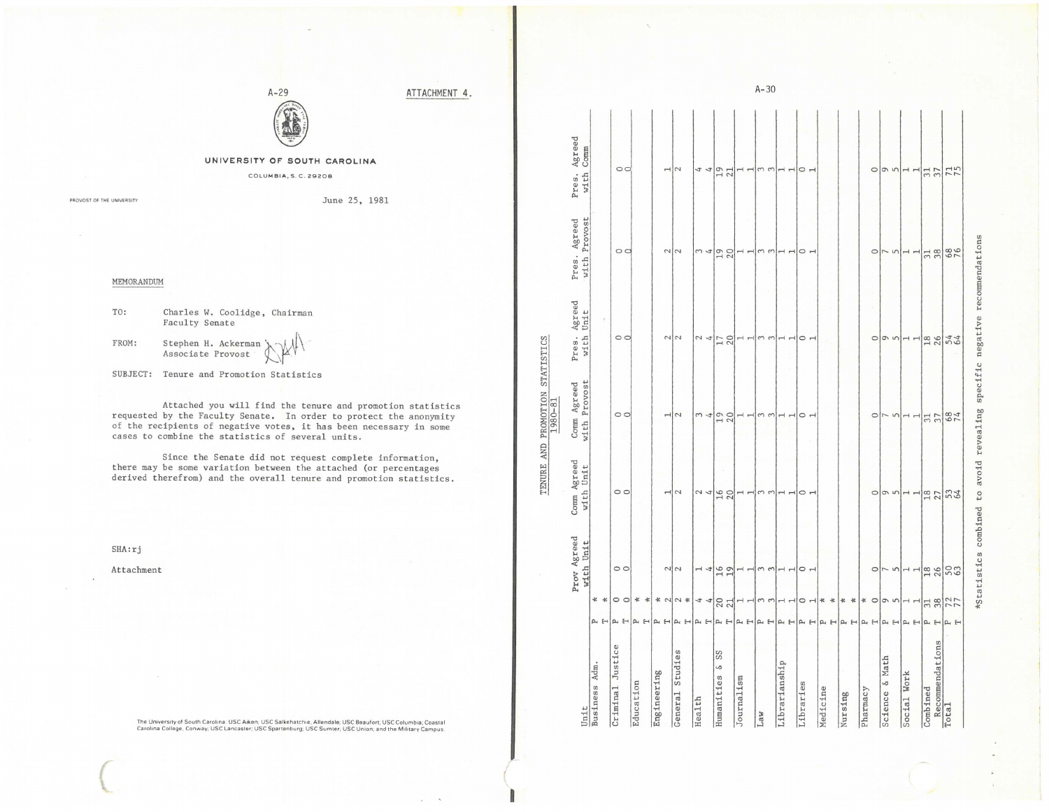ATTACHMENT 4.



## UNIVERSITY OF SOUTH CAROLINA

COLUMBIA, S. C. 29208

PROVOST OF THE UNIVERSITY

June 25, 1981

MEMORANDUM

TO: Charles W. Coolidge, Chairman Faculty Senate

> Stephen H. Ackerman' Associate Provost

FROM:

SUBJECT: Tenure and Promotion Statistics

Attached you will find the tenure and promotion statistics requested by the Faculty Senate. In order to protect the anonymity of the recipients of negative votes, it has been necessary in some cases to combine the statistics of several units.

Since the Senate did not request complete information, there may be some variation between the attached (or percentages derived therefrom) and the overall tenure and promotion statistics.

 $SHA:ri$ 

Attachment

The University of South Carolina: USC Aiken; USC Salkehatchie, Allendale; USC Beaufort; USC Columbia; Coastal<br>Carolina College, Conway; USC Lancaster; USC Spartanburg; USC Sumter; USC Union; and the Military Campus.